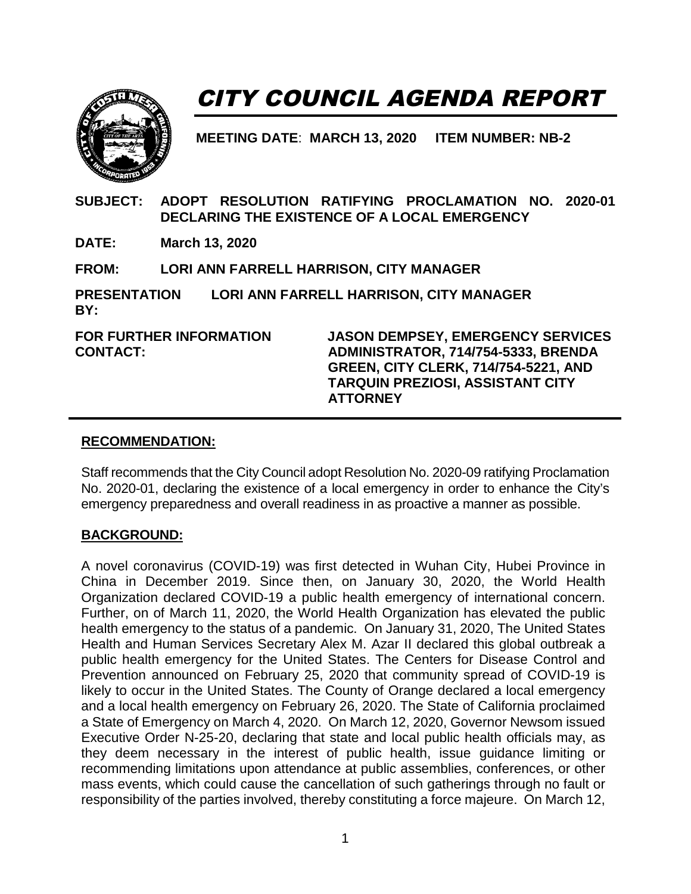

# CITY COUNCIL AGENDA REPORT

**MEETING DATE**: **MARCH 13, 2020 ITEM NUMBER: NB-2**

**SUBJECT: ADOPT RESOLUTION RATIFYING PROCLAMATION NO. 2020-01 DECLARING THE EXISTENCE OF A LOCAL EMERGENCY** 

**DATE: March 13, 2020**

**FROM: LORI ANN FARRELL HARRISON, CITY MANAGER**

**PRESENTATION BY: LORI ANN FARRELL HARRISON, CITY MANAGER**

**FOR FURTHER INFORMATION CONTACT:** 

**JASON DEMPSEY, EMERGENCY SERVICES ADMINISTRATOR, 714/754-5333, BRENDA GREEN, CITY CLERK, 714/754-5221, AND TARQUIN PREZIOSI, ASSISTANT CITY ATTORNEY** 

#### **RECOMMENDATION:**

Staff recommends that the City Council adopt Resolution No. 2020-09 ratifying Proclamation No. 2020-01, declaring the existence of a local emergency in order to enhance the City's emergency preparedness and overall readiness in as proactive a manner as possible.

#### **BACKGROUND:**

A novel coronavirus (COVID-19) was first detected in Wuhan City, Hubei Province in China in December 2019. Since then, on January 30, 2020, the World Health Organization declared COVID-19 a public health emergency of international concern. Further, on of March 11, 2020, the World Health Organization has elevated the public health emergency to the status of a pandemic. On January 31, 2020, The United States Health and Human Services Secretary Alex M. Azar II declared this global outbreak a public health emergency for the United States. The Centers for Disease Control and Prevention announced on February 25, 2020 that community spread of COVID-19 is likely to occur in the United States. The County of Orange declared a local emergency and a local health emergency on February 26, 2020. The State of California proclaimed a State of Emergency on March 4, 2020. On March 12, 2020, Governor Newsom issued Executive Order N-25-20, declaring that state and local public health officials may, as they deem necessary in the interest of public health, issue guidance limiting or recommending limitations upon attendance at public assemblies, conferences, or other mass events, which could cause the cancellation of such gatherings through no fault or responsibility of the parties involved, thereby constituting a force majeure. On March 12,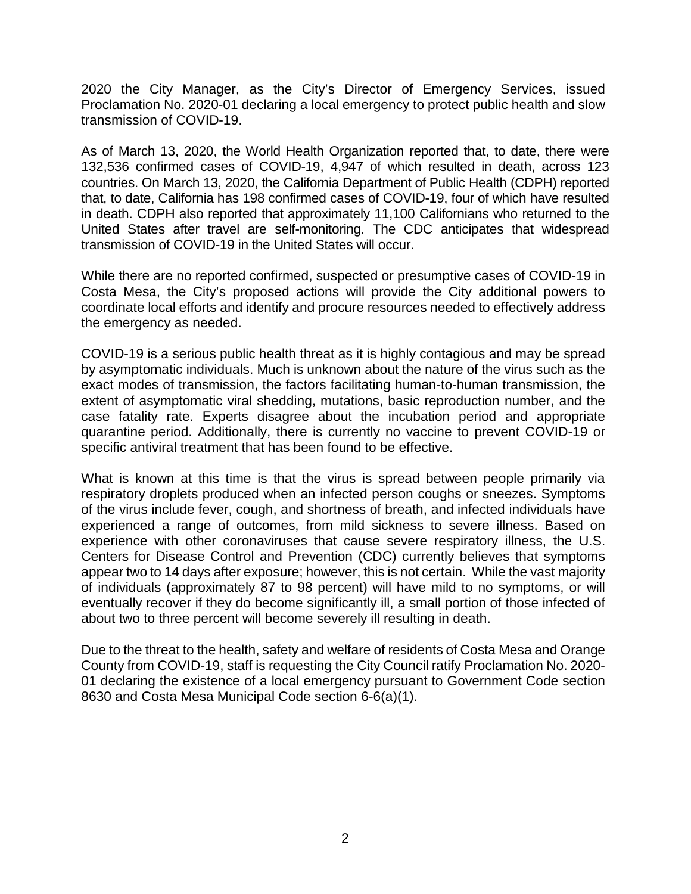2020 the City Manager, as the City's Director of Emergency Services, issued Proclamation No. 2020-01 declaring a local emergency to protect public health and slow transmission of COVID-19.

As of March 13, 2020, the World Health Organization reported that, to date, there were 132,536 confirmed cases of COVID-19, 4,947 of which resulted in death, across 123 countries. On March 13, 2020, the California Department of Public Health (CDPH) reported that, to date, California has 198 confirmed cases of COVID-19, four of which have resulted in death. CDPH also reported that approximately 11,100 Californians who returned to the United States after travel are self-monitoring. The CDC anticipates that widespread transmission of COVID-19 in the United States will occur.

While there are no reported confirmed, suspected or presumptive cases of COVID-19 in Costa Mesa, the City's proposed actions will provide the City additional powers to coordinate local efforts and identify and procure resources needed to effectively address the emergency as needed.

COVID-19 is a serious public health threat as it is highly contagious and may be spread by asymptomatic individuals. Much is unknown about the nature of the virus such as the exact modes of transmission, the factors facilitating human-to-human transmission, the extent of asymptomatic viral shedding, mutations, basic reproduction number, and the case fatality rate. Experts disagree about the incubation period and appropriate quarantine period. Additionally, there is currently no vaccine to prevent COVID-19 or specific antiviral treatment that has been found to be effective.

What is known at this time is that the virus is spread between people primarily via respiratory droplets produced when an infected person coughs or sneezes. Symptoms of the virus include fever, cough, and shortness of breath, and infected individuals have experienced a range of outcomes, from mild sickness to severe illness. Based on experience with other coronaviruses that cause severe respiratory illness, the U.S. Centers for Disease Control and Prevention (CDC) currently believes that symptoms appear two to 14 days after exposure; however, this is not certain. While the vast majority of individuals (approximately 87 to 98 percent) will have mild to no symptoms, or will eventually recover if they do become significantly ill, a small portion of those infected of about two to three percent will become severely ill resulting in death.

Due to the threat to the health, safety and welfare of residents of Costa Mesa and Orange County from COVID-19, staff is requesting the City Council ratify Proclamation No. 2020- 01 declaring the existence of a local emergency pursuant to Government Code section 8630 and Costa Mesa Municipal Code section 6-6(a)(1).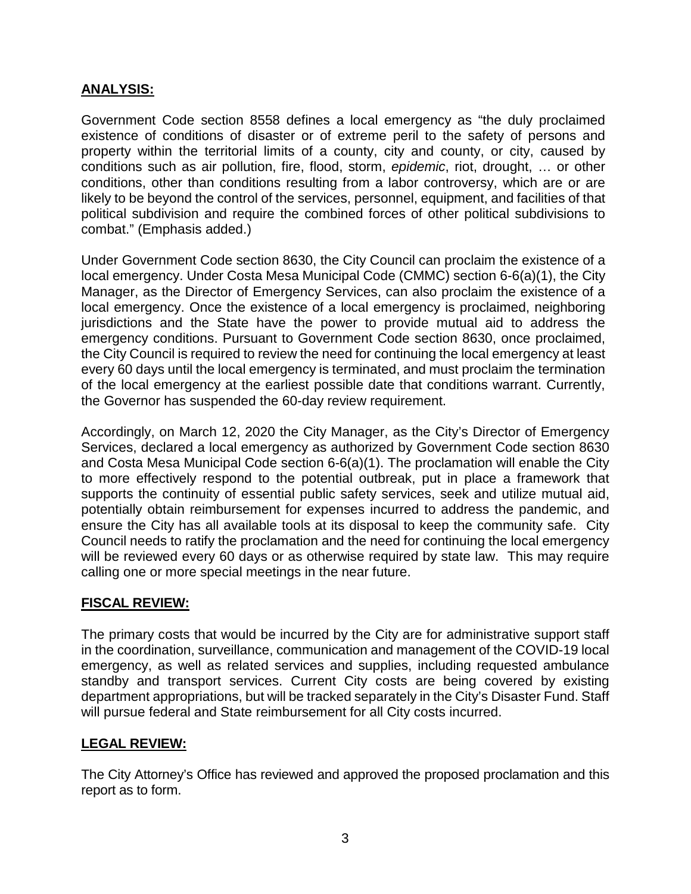## **ANALYSIS:**

Government Code section 8558 defines a local emergency as "the duly proclaimed existence of conditions of disaster or of extreme peril to the safety of persons and property within the territorial limits of a county, city and county, or city, caused by conditions such as air pollution, fire, flood, storm, *epidemic*, riot, drought, … or other conditions, other than conditions resulting from a labor controversy, which are or are likely to be beyond the control of the services, personnel, equipment, and facilities of that political subdivision and require the combined forces of other political subdivisions to combat." (Emphasis added.)

Under Government Code section 8630, the City Council can proclaim the existence of a local emergency. Under Costa Mesa Municipal Code (CMMC) section 6-6(a)(1), the City Manager, as the Director of Emergency Services, can also proclaim the existence of a local emergency. Once the existence of a local emergency is proclaimed, neighboring jurisdictions and the State have the power to provide mutual aid to address the emergency conditions. Pursuant to Government Code section 8630, once proclaimed, the City Council is required to review the need for continuing the local emergency at least every 60 days until the local emergency is terminated, and must proclaim the termination of the local emergency at the earliest possible date that conditions warrant. Currently, the Governor has suspended the 60-day review requirement.

Accordingly, on March 12, 2020 the City Manager, as the City's Director of Emergency Services, declared a local emergency as authorized by Government Code section 8630 and Costa Mesa Municipal Code section 6-6(a)(1). The proclamation will enable the City to more effectively respond to the potential outbreak, put in place a framework that supports the continuity of essential public safety services, seek and utilize mutual aid, potentially obtain reimbursement for expenses incurred to address the pandemic, and ensure the City has all available tools at its disposal to keep the community safe. City Council needs to ratify the proclamation and the need for continuing the local emergency will be reviewed every 60 days or as otherwise required by state law. This may require calling one or more special meetings in the near future.

## **FISCAL REVIEW:**

The primary costs that would be incurred by the City are for administrative support staff in the coordination, surveillance, communication and management of the COVID-19 local emergency, as well as related services and supplies, including requested ambulance standby and transport services. Current City costs are being covered by existing department appropriations, but will be tracked separately in the City's Disaster Fund. Staff will pursue federal and State reimbursement for all City costs incurred.

## **LEGAL REVIEW:**

The City Attorney's Office has reviewed and approved the proposed proclamation and this report as to form.